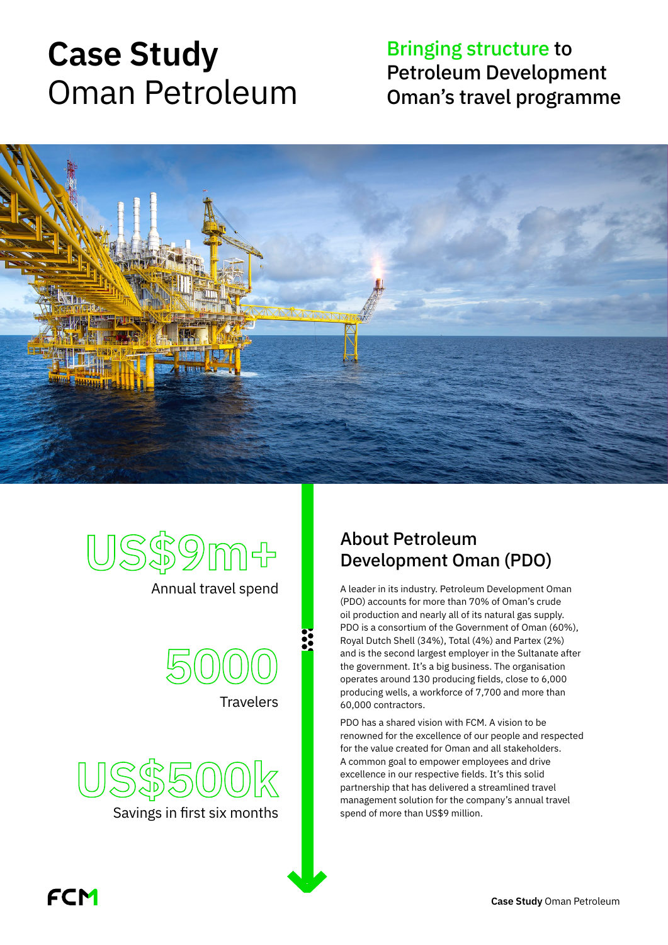# **Case Study** Oman Petroleum

# Bringing structure to Petroleum Development Oman's travel programme





Annual travel spend



**Travelers** 

**US\$500k** Savings in first six months

#### About Petroleum Development Oman (PDO)

A leader in its industry. Petroleum Development Oman (PDO) accounts for more than 70% of Oman's crude oil production and nearly all of its natural gas supply. PDO is a consortium of the Government of Oman (60%), Royal Dutch Shell (34%), Total (4%) and Partex (2%) and is the second largest employer in the Sultanate after the government. It's a big business. The organisation operates around 130 producing fields, close to 6,000 producing wells, a workforce of 7,700 and more than 60,000 contractors.

PDO has a shared vision with FCM. A vision to be renowned for the excellence of our people and respected for the value created for Oman and all stakeholders. A common goal to empower employees and drive excellence in our respective fields. It's this solid partnership that has delivered a streamlined travel management solution for the company's annual travel spend of more than US\$9 million.